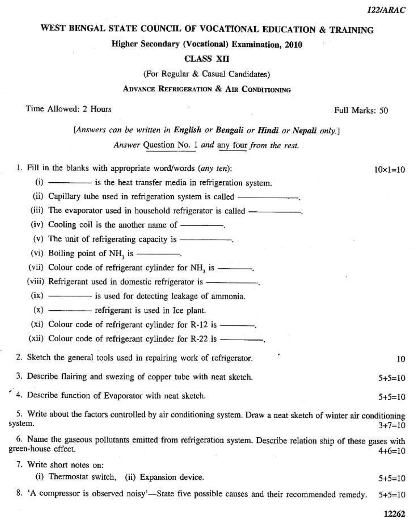# WEST BENGAL STATE COUNCIL OF VOCATIONAL EDUCATION & TRAINING

#### **Higher Secondary (Vocational) Examination, 2010**

### **CLASS XII**

(For Regular & Casual Candidates)

### **ADVANCE REFRIGERATION & AIR CONDITIONING**

Time Allowed: 2 Hours

[Answers can be written in English or Bengali or Hindi or Nepali only.]

Answer Question No. 1 and any four from the rest.

1. Fill in the blanks with appropriate word/words (any ten):

(i) — is the heat transfer media in refrigeration system.

 $(iv)$  Cooling coil is the another name of  $\frac{1}{\sqrt{2}}$ .

(v) The unit of refrigerating capacity is  $\frac{1}{1}$ .

(vi) Boiling point of NH<sub>3</sub> is -------------

(vii) Colour code of refrigerant cylinder for NH<sub>3</sub> is ----------

(viii) Refrigerant used in domestic refrigerator is -----------------

(ix) - is used for detecting leakage of ammonia.

 $(x)$  — $-$  refrigerant is used in Ice plant.

 $(xi)$  Colour code of refrigerant cylinder for R-12 is  $\frac{1}{x}$ 

2. Sketch the general tools used in repairing work of refrigerator.

3. Describe flairing and swezing of copper tube with neat sketch.

4. Describe function of Evaporator with neat sketch.

5. Write about the factors controlled by air conditioning system. Draw a neat sketch of winter air conditioning system.  $3 + 7 = 10$ 

6. Name the gaseous pollutants emitted from refrigeration system. Describe relation ship of these gases with green-house effect.  $4 + 6 = 10$ 

7. Write short notes on:

(i) Thermostat switch, (ii) Expansion device.

8. 'A compressor is observed noisy'-State five possible causes and their recommended remedy.  $5+5=10$ 

 $5+5=10$ 

10

 $5+5=10$ 

 $5+5=10$ 

Full Marks: 50

 $10 \times 1 = 10$